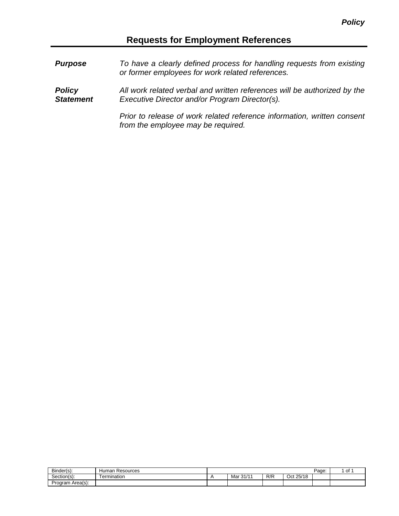## **Requests for Employment References**

*Purpose To have a clearly defined process for handling requests from existing or former employees for work related references. Policy Statement All work related verbal and written references will be authorized by the Executive Director and/or Program Director(s). Prior to release of work related reference information, written consent from the employee may be required.*

| Binder(s):       | -<br>Resources<br>Human |                       |     |              | Page: | . of |
|------------------|-------------------------|-----------------------|-----|--------------|-------|------|
| Section(s):      | ermination              | $ 0A/A$<br>Mar<br>31/ | R/R | 25/18<br>Oct |       |      |
| Program Area(s): |                         |                       |     |              |       |      |